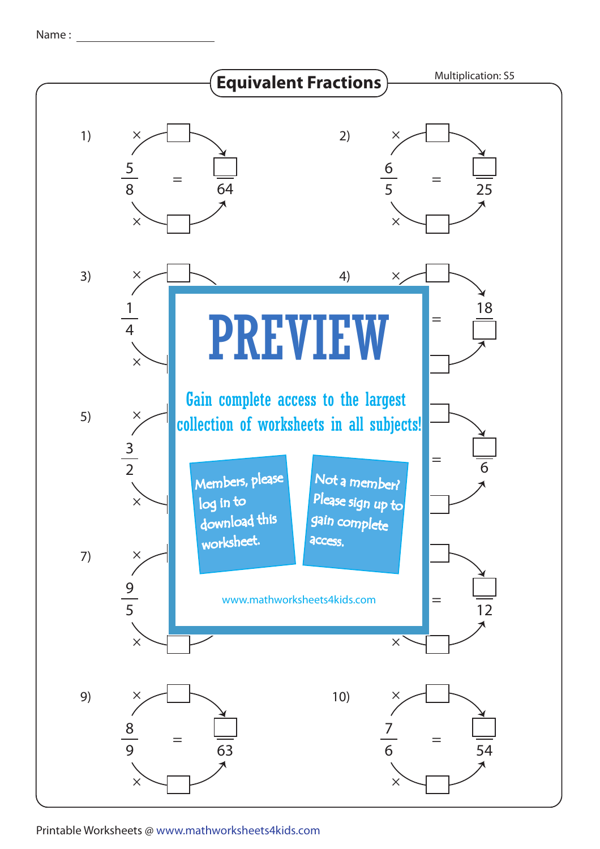